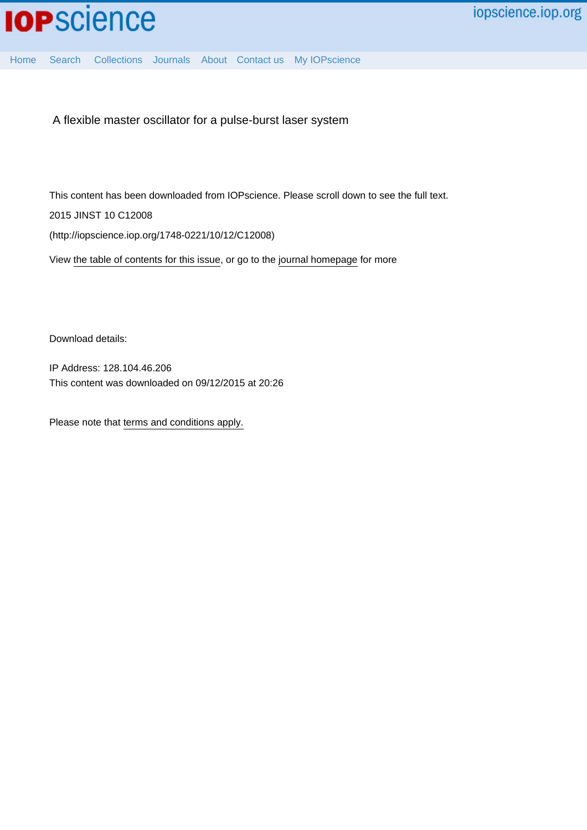[Home](http://iopscience.iop.org/) [Search](http://iopscience.iop.org/search) [Collections](http://iopscience.iop.org/collections) [Journals](http://iopscience.iop.org/journals) [About](http://iopscience.iop.org/page/aboutioppublishing) [Contact us](http://iopscience.iop.org/contact) [My IOPscience](http://iopscience.iop.org/myiopscience)

A flexible master oscillator for a pulse-burst laser system

This content has been downloaded from IOPscience. Please scroll down to see the full text. 2015 JINST 10 C12008

(http://iopscience.iop.org/1748-0221/10/12/C12008)

View [the table of contents for this issue](http://iopscience.iop.org/1748-0221/10/12), or go to the [journal homepage](http://iopscience.iop.org/1748-0221) for more

Download details:

IP Address: 128.104.46.206 This content was downloaded on 09/12/2015 at 20:26

Please note that [terms and conditions apply.](iopscience.iop.org/page/terms)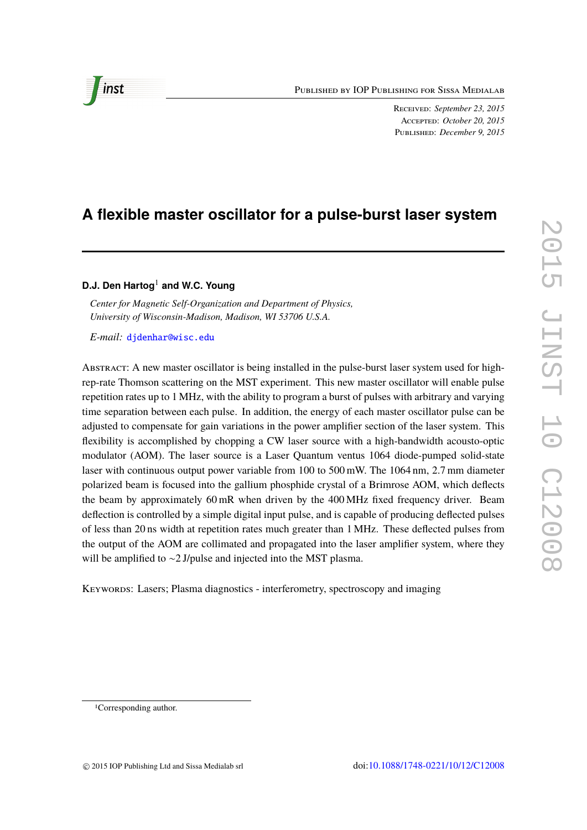Published by IOP Publishing for Sissa Medialab

Received: *September 23, 2015* Accepted: *October 20, 2015* Published: *December 9, 2015*

# **A flexible master oscillator for a pulse-burst laser system**

# **D.J. Den Hartog**<sup>1</sup> **and W.C. Young**

*Center for Magnetic Self-Organization and Department of Physics, University of Wisconsin-Madison, Madison, WI 53706 U.S.A.*

*E-mail:* [djdenhar@wisc.edu](mailto:djdenhar@wisc.edu)

Abstract: A new master oscillator is being installed in the pulse-burst laser system used for highrep-rate Thomson scattering on the MST experiment. This new master oscillator will enable pulse repetition rates up to 1 MHz, with the ability to program a burst of pulses with arbitrary and varying time separation between each pulse. In addition, the energy of each master oscillator pulse can be adjusted to compensate for gain variations in the power amplifier section of the laser system. This flexibility is accomplished by chopping a CW laser source with a high-bandwidth acousto-optic modulator (AOM). The laser source is a Laser Quantum ventus 1064 diode-pumped solid-state laser with continuous output power variable from 100 to 500 mW. The 1064 nm, 2.7 mm diameter polarized beam is focused into the gallium phosphide crystal of a Brimrose AOM, which deflects the beam by approximately 60 mR when driven by the 400 MHz fixed frequency driver. Beam deflection is controlled by a simple digital input pulse, and is capable of producing deflected pulses of less than 20 ns width at repetition rates much greater than 1 MHz. These deflected pulses from the output of the AOM are collimated and propagated into the laser amplifier system, where they will be amplified to ∼2 J/pulse and injected into the MST plasma.

Keywords: Lasers; Plasma diagnostics - interferometry, spectroscopy and imaging



inst

<sup>1</sup>Corresponding author.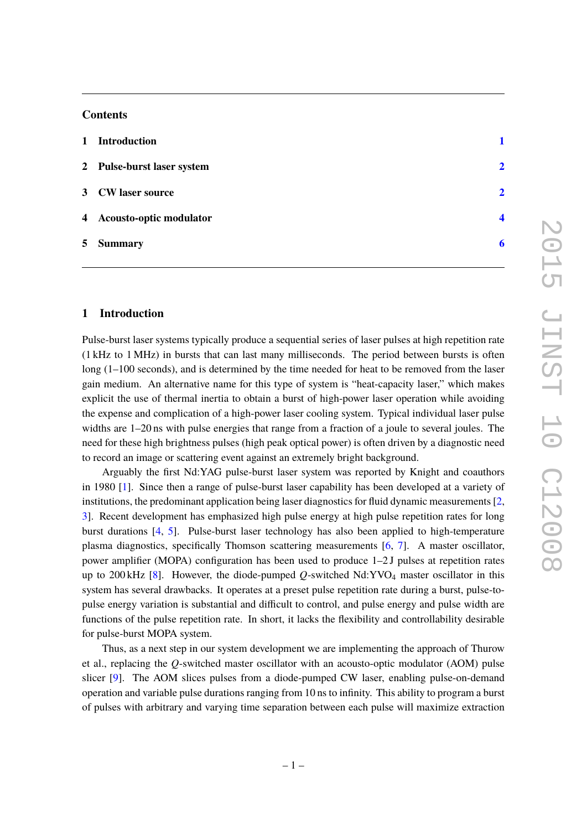# **Contents**

| 1 Introduction             |                |
|----------------------------|----------------|
| 2 Pulse-burst laser system | $\overline{2}$ |
| 3 CW laser source          | $\overline{2}$ |
| 4 Acousto-optic modulator  | Δ              |
| 5 Summary                  | 6              |

# <span id="page-2-0"></span>**1 Introduction**

Pulse-burst laser systems typically produce a sequential series of laser pulses at high repetition rate (1 kHz to 1 MHz) in bursts that can last many milliseconds. The period between bursts is often long (1–100 seconds), and is determined by the time needed for heat to be removed from the laser gain medium. An alternative name for this type of system is "heat-capacity laser," which makes explicit the use of thermal inertia to obtain a burst of high-power laser operation while avoiding the expense and complication of a high-power laser cooling system. Typical individual laser pulse widths are 1–20 ns with pulse energies that range from a fraction of a joule to several joules. The need for these high brightness pulses (high peak optical power) is often driven by a diagnostic need to record an image or scattering event against an extremely bright background.

Arguably the first Nd:YAG pulse-burst laser system was reported by Knight and coauthors in 1980 [\[1\]](#page-7-1). Since then a range of pulse-burst laser capability has been developed at a variety of institutions, the predominant application being laser diagnostics for fluid dynamic measurements [\[2,](#page-7-2) [3\]](#page-7-3). Recent development has emphasized high pulse energy at high pulse repetition rates for long burst durations [\[4,](#page-7-4) [5\]](#page-7-5). Pulse-burst laser technology has also been applied to high-temperature plasma diagnostics, specifically Thomson scattering measurements [\[6,](#page-7-6) [7\]](#page-7-7). A master oscillator, power amplifier (MOPA) configuration has been used to produce 1–2 J pulses at repetition rates up to 200 kHz [\[8\]](#page-7-8). However, the diode-pumped *Q*-switched Nd:YVO<sup>4</sup> master oscillator in this system has several drawbacks. It operates at a preset pulse repetition rate during a burst, pulse-topulse energy variation is substantial and difficult to control, and pulse energy and pulse width are functions of the pulse repetition rate. In short, it lacks the flexibility and controllability desirable for pulse-burst MOPA system.

Thus, as a next step in our system development we are implementing the approach of Thurow et al., replacing the *Q*-switched master oscillator with an acousto-optic modulator (AOM) pulse slicer [\[9\]](#page-7-9). The AOM slices pulses from a diode-pumped CW laser, enabling pulse-on-demand operation and variable pulse durations ranging from 10 ns to infinity. This ability to program a burst of pulses with arbitrary and varying time separation between each pulse will maximize extraction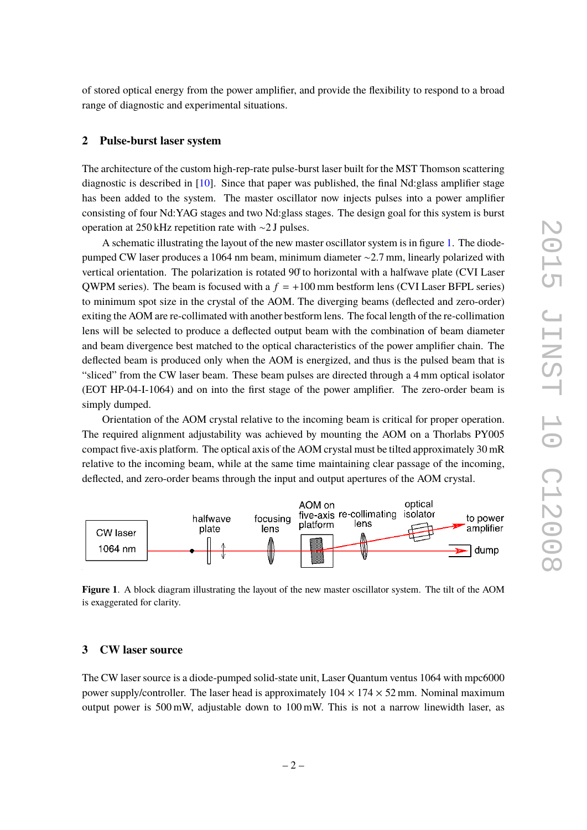of stored optical energy from the power amplifier, and provide the flexibility to respond to a broad range of diagnostic and experimental situations.

# <span id="page-3-0"></span>**2 Pulse-burst laser system**

The architecture of the custom high-rep-rate pulse-burst laser built for the MST Thomson scattering diagnostic is described in  $[10]$ . Since that paper was published, the final Nd: glass amplifier stage has been added to the system. The master oscillator now injects pulses into a power amplifier consisting of four Nd:YAG stages and two Nd:glass stages. The design goal for this system is burst operation at 250 kHz repetition rate with ∼2 J pulses.

A schematic illustrating the layout of the new master oscillator system is in figure [1.](#page-3-2) The diodepumped CW laser produces a 1064 nm beam, minimum diameter ∼2.7 mm, linearly polarized with vertical orientation. The polarization is rotated 90˚to horizontal with a halfwave plate (CVI Laser QWPM series). The beam is focused with a  $f = +100$  mm bestform lens (CVI Laser BFPL series) to minimum spot size in the crystal of the AOM. The diverging beams (deflected and zero-order) exiting the AOM are re-collimated with another bestform lens. The focal length of the re-collimation lens will be selected to produce a deflected output beam with the combination of beam diameter and beam divergence best matched to the optical characteristics of the power amplifier chain. The deflected beam is produced only when the AOM is energized, and thus is the pulsed beam that is "sliced" from the CW laser beam. These beam pulses are directed through a 4 mm optical isolator (EOT HP-04-I-1064) and on into the first stage of the power amplifier. The zero-order beam is simply dumped.

Orientation of the AOM crystal relative to the incoming beam is critical for proper operation. The required alignment adjustability was achieved by mounting the AOM on a Thorlabs PY005 compact five-axis platform. The optical axis of the AOM crystal must be tilted approximately 30 mR relative to the incoming beam, while at the same time maintaining clear passage of the incoming, deflected, and zero-order beams through the input and output apertures of the AOM crystal.



<span id="page-3-2"></span>**Figure 1**. A block diagram illustrating the layout of the new master oscillator system. The tilt of the AOM is exaggerated for clarity.

#### <span id="page-3-1"></span>**3 CW laser source**

The CW laser source is a diode-pumped solid-state unit, Laser Quantum ventus 1064 with mpc6000 power supply/controller. The laser head is approximately  $104 \times 174 \times 52$  mm. Nominal maximum output power is 500 mW, adjustable down to 100 mW. This is not a narrow linewidth laser, as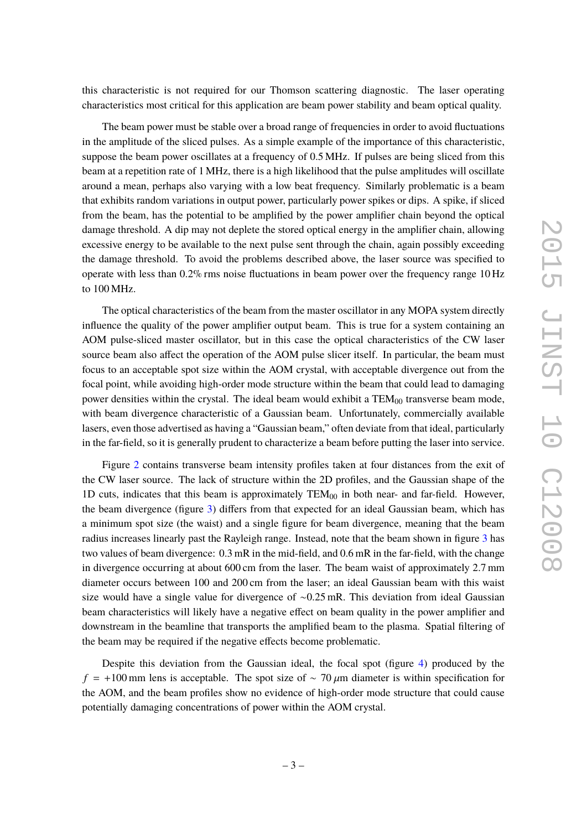this characteristic is not required for our Thomson scattering diagnostic. The laser operating characteristics most critical for this application are beam power stability and beam optical quality.

The beam power must be stable over a broad range of frequencies in order to avoid fluctuations in the amplitude of the sliced pulses. As a simple example of the importance of this characteristic, suppose the beam power oscillates at a frequency of 0.5 MHz. If pulses are being sliced from this beam at a repetition rate of 1 MHz, there is a high likelihood that the pulse amplitudes will oscillate around a mean, perhaps also varying with a low beat frequency. Similarly problematic is a beam that exhibits random variations in output power, particularly power spikes or dips. A spike, if sliced from the beam, has the potential to be amplified by the power amplifier chain beyond the optical damage threshold. A dip may not deplete the stored optical energy in the amplifier chain, allowing excessive energy to be available to the next pulse sent through the chain, again possibly exceeding the damage threshold. To avoid the problems described above, the laser source was specified to operate with less than  $0.2\%$  rms noise fluctuations in beam power over the frequency range 10 Hz to 100 MHz.

The optical characteristics of the beam from the master oscillator in any MOPA system directly influence the quality of the power amplifier output beam. This is true for a system containing an AOM pulse-sliced master oscillator, but in this case the optical characteristics of the CW laser source beam also affect the operation of the AOM pulse slicer itself. In particular, the beam must focus to an acceptable spot size within the AOM crystal, with acceptable divergence out from the focal point, while avoiding high-order mode structure within the beam that could lead to damaging power densities within the crystal. The ideal beam would exhibit a  $TEM_{00}$  transverse beam mode, with beam divergence characteristic of a Gaussian beam. Unfortunately, commercially available lasers, even those advertised as having a "Gaussian beam," often deviate from that ideal, particularly in the far-field, so it is generally prudent to characterize a beam before putting the laser into service.

Figure [2](#page-5-1) contains transverse beam intensity profiles taken at four distances from the exit of the CW laser source. The lack of structure within the 2D profiles, and the Gaussian shape of the 1D cuts, indicates that this beam is approximately  $TEM_{00}$  in both near- and far-field. However, the beam divergence (figure [3\)](#page-5-2) differs from that expected for an ideal Gaussian beam, which has a minimum spot size (the waist) and a single figure for beam divergence, meaning that the beam radius increases linearly past the Rayleigh range. Instead, note that the beam shown in figure [3](#page-5-2) has two values of beam divergence: 0.3 mR in the mid-field, and 0.6 mR in the far-field, with the change in divergence occurring at about 600 cm from the laser. The beam waist of approximately 2.7 mm diameter occurs between 100 and 200 cm from the laser; an ideal Gaussian beam with this waist size would have a single value for divergence of ∼0.25 mR. This deviation from ideal Gaussian beam characteristics will likely have a negative effect on beam quality in the power amplifier and downstream in the beamline that transports the amplified beam to the plasma. Spatial filtering of the beam may be required if the negative effects become problematic.

Despite this deviation from the Gaussian ideal, the focal spot (figure [4\)](#page-5-3) produced by the  $f = +100$  mm lens is acceptable. The spot size of ~ 70  $\mu$ m diameter is within specification for the AOM, and the beam profiles show no evidence of high-order mode structure that could cause potentially damaging concentrations of power within the AOM crystal.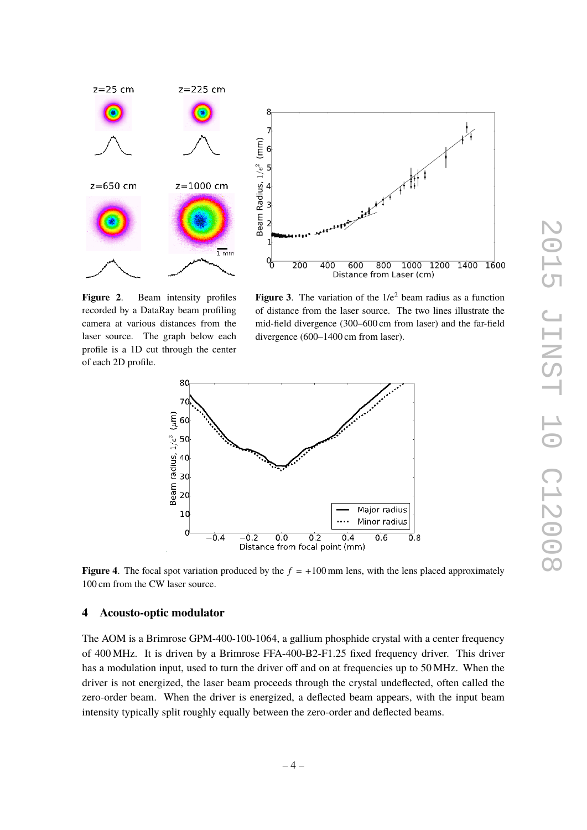

<span id="page-5-1"></span>**Figure 2**. Beam intensity profiles recorded by a DataRay beam profiling camera at various distances from the laser source. The graph below each profile is a 1D cut through the center of each 2D profile.

<span id="page-5-2"></span>**Figure 3.** The variation of the  $1/e^2$  beam radius as a function of distance from the laser source. The two lines illustrate the mid-field divergence (300–600 cm from laser) and the far-field divergence (600–1400 cm from laser).



<span id="page-5-3"></span>**Figure 4.** The focal spot variation produced by the  $f = +100$  mm lens, with the lens placed approximately 100 cm from the CW laser source.

## <span id="page-5-0"></span>**4 Acousto-optic modulator**

The AOM is a Brimrose GPM-400-100-1064, a gallium phosphide crystal with a center frequency of 400 MHz. It is driven by a Brimrose FFA-400-B2-F1.25 fixed frequency driver. This driver has a modulation input, used to turn the driver off and on at frequencies up to 50 MHz. When the driver is not energized, the laser beam proceeds through the crystal undeflected, often called the zero-order beam. When the driver is energized, a deflected beam appears, with the input beam intensity typically split roughly equally between the zero-order and deflected beams.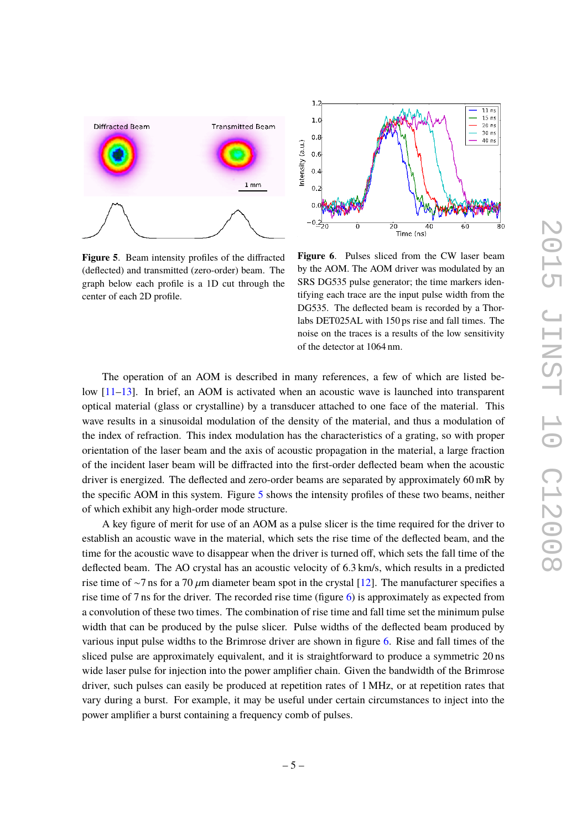

<span id="page-6-0"></span>**Figure 5**. Beam intensity profiles of the diffracted (deflected) and transmitted (zero-order) beam. The graph below each profile is a 1D cut through the center of each 2D profile.



<span id="page-6-1"></span>**Figure 6**. Pulses sliced from the CW laser beam by the AOM. The AOM driver was modulated by an SRS DG535 pulse generator; the time markers identifying each trace are the input pulse width from the DG535. The deflected beam is recorded by a Thorlabs DET025AL with 150 ps rise and fall times. The noise on the traces is a results of the low sensitivity of the detector at 1064 nm.

The operation of an AOM is described in many references, a few of which are listed below [\[11](#page-8-1)[–13\]](#page-8-2). In brief, an AOM is activated when an acoustic wave is launched into transparent optical material (glass or crystalline) by a transducer attached to one face of the material. This wave results in a sinusoidal modulation of the density of the material, and thus a modulation of the index of refraction. This index modulation has the characteristics of a grating, so with proper orientation of the laser beam and the axis of acoustic propagation in the material, a large fraction of the incident laser beam will be diffracted into the first-order deflected beam when the acoustic driver is energized. The deflected and zero-order beams are separated by approximately 60 mR by the specific AOM in this system. Figure [5](#page-6-0) shows the intensity profiles of these two beams, neither of which exhibit any high-order mode structure.

A key figure of merit for use of an AOM as a pulse slicer is the time required for the driver to establish an acoustic wave in the material, which sets the rise time of the deflected beam, and the time for the acoustic wave to disappear when the driver is turned off, which sets the fall time of the deflected beam. The AO crystal has an acoustic velocity of 6.3 km/s, which results in a predicted rise time of ~7 ns for a 70  $\mu$ m diameter beam spot in the crystal [\[12\]](#page-8-3). The manufacturer specifies a rise time of 7 ns for the driver. The recorded rise time (figure [6\)](#page-6-1) is approximately as expected from a convolution of these two times. The combination of rise time and fall time set the minimum pulse width that can be produced by the pulse slicer. Pulse widths of the deflected beam produced by various input pulse widths to the Brimrose driver are shown in figure [6.](#page-6-1) Rise and fall times of the sliced pulse are approximately equivalent, and it is straightforward to produce a symmetric 20 ns wide laser pulse for injection into the power amplifier chain. Given the bandwidth of the Brimrose driver, such pulses can easily be produced at repetition rates of 1 MHz, or at repetition rates that vary during a burst. For example, it may be useful under certain circumstances to inject into the power amplifier a burst containing a frequency comb of pulses.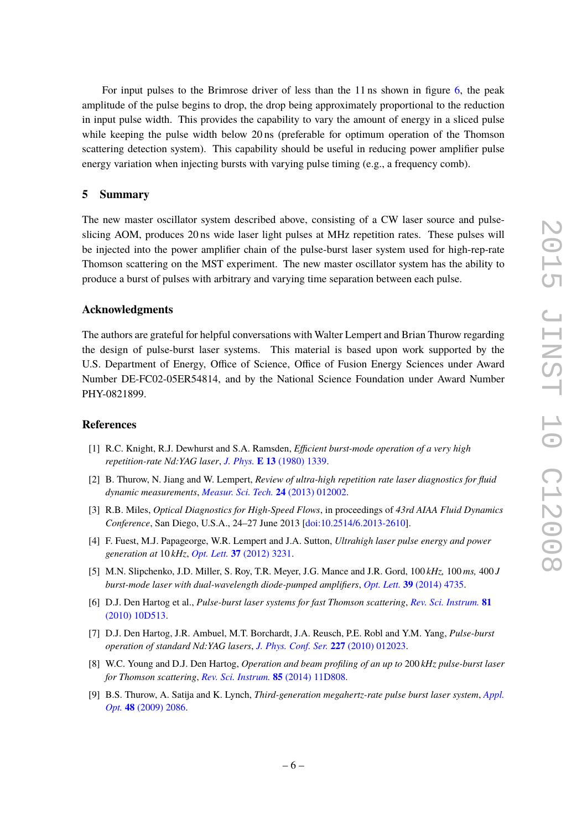For input pulses to the Brimrose driver of less than the 11 ns shown in figure [6,](#page-6-1) the peak amplitude of the pulse begins to drop, the drop being approximately proportional to the reduction in input pulse width. This provides the capability to vary the amount of energy in a sliced pulse while keeping the pulse width below 20 ns (preferable for optimum operation of the Thomson scattering detection system). This capability should be useful in reducing power amplifier pulse energy variation when injecting bursts with varying pulse timing (e.g., a frequency comb).

## <span id="page-7-0"></span>**5 Summary**

The new master oscillator system described above, consisting of a CW laser source and pulseslicing AOM, produces 20 ns wide laser light pulses at MHz repetition rates. These pulses will be injected into the power amplifier chain of the pulse-burst laser system used for high-rep-rate Thomson scattering on the MST experiment. The new master oscillator system has the ability to produce a burst of pulses with arbitrary and varying time separation between each pulse.

### **Acknowledgments**

The authors are grateful for helpful conversations with Walter Lempert and Brian Thurow regarding the design of pulse-burst laser systems. This material is based upon work supported by the U.S. Department of Energy, Office of Science, Office of Fusion Energy Sciences under Award Number DE-FC02-05ER54814, and by the National Science Foundation under Award Number PHY-0821899.

# **References**

- <span id="page-7-1"></span>[1] R.C. Knight, R.J. Dewhurst and S.A. Ramsden, *Efficient burst-mode operation of a very high repetition-rate Nd:YAG laser*, *J. Phys.* **E 13** [\(1980\) 1339.](http://dx.doi.org/doi:10.1088/0022-3735/13/12/028)
- <span id="page-7-2"></span>[2] B. Thurow, N. Jiang and W. Lempert, *Review of ultra-high repetition rate laser diagnostics for fluid dynamic measurements*, *[Measur. Sci. Tech.](http://dx.doi.org/doi:10.1088/0957-0233/24/1/012002)* **24** (2013) 012002.
- <span id="page-7-3"></span>[3] R.B. Miles, *Optical Diagnostics for High-Speed Flows*, in proceedings of *43rd AIAA Fluid Dynamics Conference*, San Diego, U.S.A., 24–27 June 2013 [\[doi:10.2514/6.2013-2610\]](http://dx.doi.org/doi:10.2514/6.2013-2610).
- <span id="page-7-4"></span>[4] F. Fuest, M.J. Papageorge, W.R. Lempert and J.A. Sutton, *Ultrahigh laser pulse energy and power generation at* 10 *kHz*, *Opt. Lett.* **37** [\(2012\) 3231.](http://dx.doi.org/doi:10.1364/OL.37.003231)
- <span id="page-7-5"></span>[5] M.N. Slipchenko, J.D. Miller, S. Roy, T.R. Meyer, J.G. Mance and J.R. Gord, 100 *kHz,* 100 *ms,* 400 *J burst-mode laser with dual-wavelength diode-pumped amplifiers*, *Opt. Lett.* **39** [\(2014\) 4735.](http://dx.doi.org/doi:10.1364/OL.39.004735)
- <span id="page-7-6"></span>[6] D.J. Den Hartog et al., *Pulse-burst laser systems for fast Thomson scattering*, *[Rev. Sci. Instrum.](http://dx.doi.org/doi:10.1063/1.3475723)* **81** [\(2010\) 10D513.](http://dx.doi.org/doi:10.1063/1.3475723)
- <span id="page-7-7"></span>[7] D.J. Den Hartog, J.R. Ambuel, M.T. Borchardt, J.A. Reusch, P.E. Robl and Y.M. Yang, *Pulse-burst operation of standard Nd:YAG lasers*, *[J. Phys. Conf. Ser.](http://dx.doi.org/doi:10.1088/1742-6596/227/1/012023)* **227** (2010) 012023.
- <span id="page-7-8"></span>[8] W.C. Young and D.J. Den Hartog, *Operation and beam profiling of an up to* 200 *kHz pulse-burst laser for Thomson scattering*, *[Rev. Sci. Instrum.](http://dx.doi.org/10.1063/1.4885539)* **85** (2014) 11D808.
- <span id="page-7-9"></span>[9] B.S. Thurow, A. Satija and K. Lynch, *Third-generation megahertz-rate pulse burst laser system*, *[Appl.](http://dx.doi.org/doi:10.1364/AO.48.002086) Opt.* **48** [\(2009\) 2086.](http://dx.doi.org/doi:10.1364/AO.48.002086)